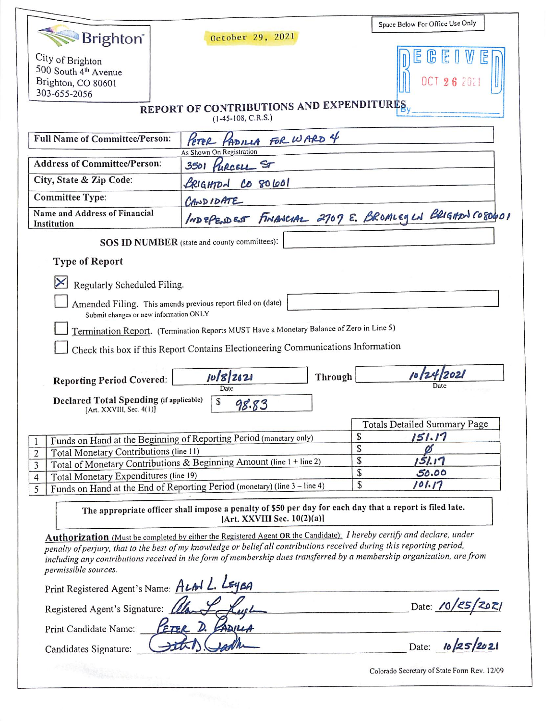| <b>Brighton</b>                                                                                                     | October 29, 2021                                                                                                                                                                                                                                  | Space Below For Office Use Only                         |  |  |  |  |
|---------------------------------------------------------------------------------------------------------------------|---------------------------------------------------------------------------------------------------------------------------------------------------------------------------------------------------------------------------------------------------|---------------------------------------------------------|--|--|--|--|
| City of Brighton<br>500 South 4 <sup>th</sup> Avenue<br>Brighton, CO 80601<br>303-655-2056                          |                                                                                                                                                                                                                                                   |                                                         |  |  |  |  |
| REPORT OF CONTRIBUTIONS AND EXPENDITURES.<br>$(1-45-108, C.R.S.)$                                                   |                                                                                                                                                                                                                                                   |                                                         |  |  |  |  |
| <b>Full Name of Committee/Person:</b>                                                                               | PETER PADILLA FOR WARD 4<br>As Shown On Registration                                                                                                                                                                                              |                                                         |  |  |  |  |
| <b>Address of Committee/Person:</b>                                                                                 | 3501 PURCELL ST                                                                                                                                                                                                                                   |                                                         |  |  |  |  |
| City, State & Zip Code:                                                                                             | BRIGHTON CO 80601                                                                                                                                                                                                                                 |                                                         |  |  |  |  |
| <b>Committee Type:</b>                                                                                              | CANDIDATE                                                                                                                                                                                                                                         |                                                         |  |  |  |  |
| Name and Address of Financial<br>Institution                                                                        |                                                                                                                                                                                                                                                   | INDEPENDENT FINANCIAL 2707 E. BROMLEGLN BRIGHAN CO80601 |  |  |  |  |
| SOS ID NUMBER (state and county committees):                                                                        |                                                                                                                                                                                                                                                   |                                                         |  |  |  |  |
| <b>Type of Report</b>                                                                                               |                                                                                                                                                                                                                                                   |                                                         |  |  |  |  |
| Regularly Scheduled Filing.                                                                                         |                                                                                                                                                                                                                                                   |                                                         |  |  |  |  |
|                                                                                                                     | Amended Filing. This amends previous report filed on (date)                                                                                                                                                                                       |                                                         |  |  |  |  |
| Submit changes or new information ONLY                                                                              | Termination Report. (Termination Reports MUST Have a Monetary Balance of Zero in Line 5)                                                                                                                                                          |                                                         |  |  |  |  |
|                                                                                                                     | Check this box if this Report Contains Electioneering Communications Information                                                                                                                                                                  |                                                         |  |  |  |  |
|                                                                                                                     |                                                                                                                                                                                                                                                   |                                                         |  |  |  |  |
| <b>Reporting Period Covered:</b>                                                                                    | 10/8/2021<br>Through<br>Date                                                                                                                                                                                                                      | 10/24/2021                                              |  |  |  |  |
| Declared Total Spending (if applicable)<br>S<br>98.83<br>[Art. XXVIII, Sec. 4(1)]                                   |                                                                                                                                                                                                                                                   |                                                         |  |  |  |  |
|                                                                                                                     |                                                                                                                                                                                                                                                   | <b>Totals Detailed Summary Page</b>                     |  |  |  |  |
|                                                                                                                     | Funds on Hand at the Beginning of Reporting Period (monetary only)                                                                                                                                                                                | \$<br>151.17<br>\$                                      |  |  |  |  |
| Total Monetary Contributions (line 11)<br>2<br>Total of Monetary Contributions & Beginning Amount (line 1 + line 2) | ø<br>\$<br>151.17                                                                                                                                                                                                                                 |                                                         |  |  |  |  |
| $\overline{3}$<br>Total Monetary Expenditures (line 19)<br>$\overline{4}$                                           | \$<br>50.00                                                                                                                                                                                                                                       |                                                         |  |  |  |  |
| Funds on Hand at the End of Reporting Period (monetary) (line 3 - line 4)<br>5                                      | \$<br>101.17                                                                                                                                                                                                                                      |                                                         |  |  |  |  |
|                                                                                                                     | The appropriate officer shall impose a penalty of \$50 per day for each day that a report is filed late.<br>[Art. XXVIII Sec. $10(2)(a)$ ]                                                                                                        |                                                         |  |  |  |  |
|                                                                                                                     | Authorization (Must be completed by either the Registered Agent OR the Candidate): I hereby certify and declare, under                                                                                                                            |                                                         |  |  |  |  |
| permissible sources.                                                                                                | penalty of perjury, that to the best of my knowledge or belief all contributions received during this reporting period,<br>including any contributions received in the form of membership dues transferred by a membership organization, are from |                                                         |  |  |  |  |
| Print Registered Agent's Name: ALAN L. LEYEA                                                                        |                                                                                                                                                                                                                                                   |                                                         |  |  |  |  |
| Registered Agent's Signature: 11                                                                                    |                                                                                                                                                                                                                                                   | Date: 10/25/2021                                        |  |  |  |  |
| PETER D. FADILLA<br>Print Candidate Name:                                                                           |                                                                                                                                                                                                                                                   |                                                         |  |  |  |  |
| Candidates Signature:                                                                                               |                                                                                                                                                                                                                                                   |                                                         |  |  |  |  |
|                                                                                                                     |                                                                                                                                                                                                                                                   | Date:                                                   |  |  |  |  |